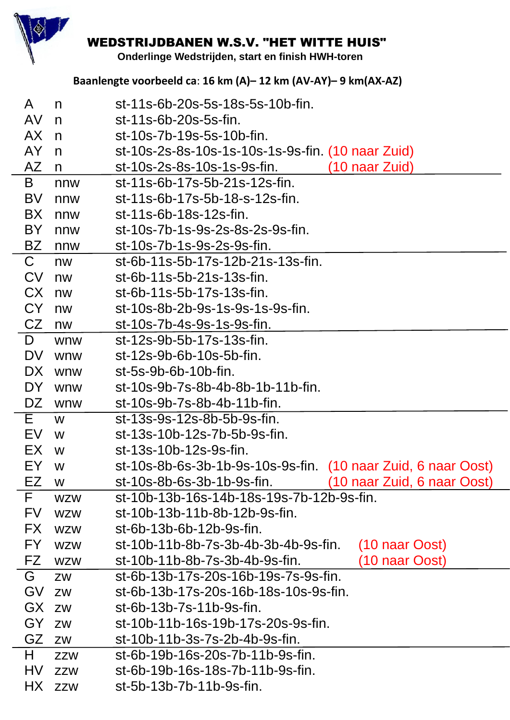

## **WEDSTRIJDBANEN W.S.V. "HET WITTE HUIS"**

Onderlinge Wedstrijden, start en finish HWH-toren

## Baanlengte voorbeeld ca: 16 km (A)-12 km (AV-AY)-9 km (AX-AZ)

| A           | n          | st-11s-6b-20s-5s-18s-5s-10b-fin.                              |
|-------------|------------|---------------------------------------------------------------|
| AV.         | n          | st-11s-6b-20s-5s-fin.                                         |
| AX          | n          | st-10s-7b-19s-5s-10b-fin.                                     |
| AY          | n          | st-10s-2s-8s-10s-1s-10s-1s-9s-fin. (10 naar Zuid)             |
| AZ          | n          | st-10s-2s-8s-10s-1s-9s-fin.<br>$(10$ naar Zuid)               |
| B           | nnw        | st-11s-6b-17s-5b-21s-12s-fin.                                 |
| <b>BV</b>   | nnw        | st-11s-6b-17s-5b-18-s-12s-fin.                                |
| BX          | nnw        | st-11s-6b-18s-12s-fin.                                        |
| BY          | nnw        | st-10s-7b-1s-9s-2s-8s-2s-9s-fin.                              |
| BZ          | nnw        | st-10s-7b-1s-9s-2s-9s-fin.                                    |
| $\mathsf C$ | nw         | st-6b-11s-5b-17s-12b-21s-13s-fin.                             |
| <b>CV</b>   | nw         | st-6b-11s-5b-21s-13s-fin.                                     |
| CX          | nw         | st-6b-11s-5b-17s-13s-fin.                                     |
| CY          | nw         | st-10s-8b-2b-9s-1s-9s-1s-9s-fin.                              |
| CZ          | nw         | st-10s-7b-4s-9s-1s-9s-fin.                                    |
| D           | wnw        | st-12s-9b-5b-17s-13s-fin.                                     |
| <b>DV</b>   | wnw        | st-12s-9b-6b-10s-5b-fin.                                      |
| DX.         | wnw        | st-5s-9b-6b-10b-fin.                                          |
| DY          | wnw        | st-10s-9b-7s-8b-4b-8b-1b-11b-fin.                             |
| DZ          | wnw        | st-10s-9b-7s-8b-4b-11b-fin.                                   |
| E.          | W          | st-13s-9s-12s-8b-5b-9s-fin.                                   |
| EV          | W          | st-13s-10b-12s-7b-5b-9s-fin.                                  |
| EX          | W          | st-13s-10b-12s-9s-fin.                                        |
| EY          | W          | st-10s-8b-6s-3b-1b-9s-10s-9s-fin. (10 naar Zuid, 6 naar Oost) |
| EZ          | W          | 10 naar Zuid, 6 naar Oost)<br>st-10s-8b-6s-3b-1b-9s-fin.      |
| F.          | <b>WZW</b> | st-10b-13b-16s-14b-18s-19s-7b-12b-9s-fin.                     |
| <b>FV</b>   | <b>WZW</b> | st-10b-13b-11b-8b-12b-9s-fin.                                 |
| FX.         | <b>WZW</b> | st-6b-13b-6b-12b-9s-fin.                                      |
| FY.         | <b>WZW</b> | st-10b-11b-8b-7s-3b-4b-3b-4b-9s-fin.<br>(10 naar Oost)        |
| FZ          | <b>WZW</b> | (10 naar Oost)<br>st-10b-11b-8b-7s-3b-4b-9s-fin.              |
| G           | <b>ZW</b>  | st-6b-13b-17s-20s-16b-19s-7s-9s-fin.                          |
| GV          | ZW         | st-6b-13b-17s-20s-16b-18s-10s-9s-fin.                         |
| GX          | ZW         | st-6b-13b-7s-11b-9s-fin.                                      |
| GY          | <b>ZW</b>  | st-10b-11b-16s-19b-17s-20s-9s-fin.                            |
| GZ          | ZW         | st-10b-11b-3s-7s-2b-4b-9s-fin.                                |
| H.          | <b>ZZW</b> | st-6b-19b-16s-20s-7b-11b-9s-fin.                              |
| HV          | <b>ZZW</b> | st-6b-19b-16s-18s-7b-11b-9s-fin.                              |
| HX          | <b>ZZW</b> | st-5b-13b-7b-11b-9s-fin.                                      |